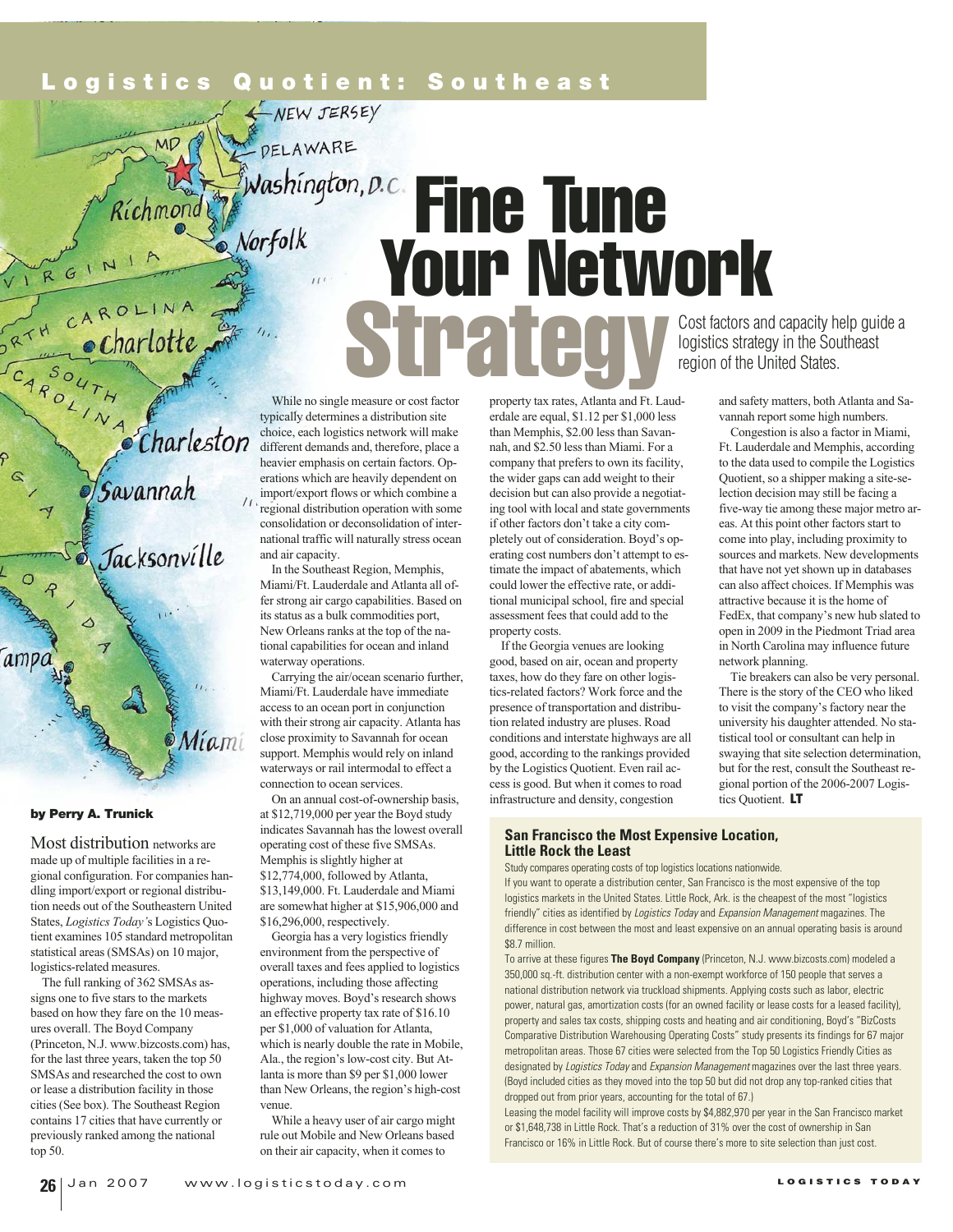## **Logistics Quotient: Southeast**

-NEW JERSEY

 $111.$ 

DELAWARE

 $\triangle$  Norfolk

 $MD$ 

Ríchmond

 $\bullet$  Charlott

Savannah

*Jacksonville* 

Miami

Charleston

RGIN

 $\begin{array}{c}\nR \rightarrow \text{CIR} \\
C_{A} S_{0} \rightarrow T_{H} \\
R_{0} \rightarrow \text{CIR} \\
\end{array}$ 

# Washington, D.C. Fine Tune Your Network **Strategy**

While no single measure or cost factor typically determines a distribution site choice, each logistics network will make different demands and, therefore, place a heavier emphasis on certain factors. Operations which are heavily dependent on import/export flows or which combine a regional distribution operation with some consolidation or deconsolidation of international traffic will naturally stress ocean and air capacity.

In the Southeast Region, Memphis, Miami/Ft. Lauderdale and Atlanta all offer strong air cargo capabilities. Based on its status as a bulk commodities port, New Orleans ranks at the top of the national capabilities for ocean and inland waterway operations.

Carrying the air/ocean scenario further, Miami/Ft. Lauderdale have immediate access to an ocean port in conjunction with their strong air capacity. Atlanta has close proximity to Savannah for ocean support. Memphis would rely on inland waterways or rail intermodal to effect a connection to ocean services.

On an annual cost-of-ownership basis, at \$12,719,000 per year the Boyd study indicates Savannah has the lowest overall operating cost of these five SMSAs. Memphis is slightly higher at \$12,774,000, followed by Atlanta, \$13,149,000. Ft. Lauderdale and Miami are somewhat higher at \$15,906,000 and \$16,296,000, respectively.

Georgia has a very logistics friendly environment from the perspective of overall taxes and fees applied to logistics operations, including those affecting highway moves. Boyd's research shows an effective property tax rate of \$16.10 per \$1,000 of valuation for Atlanta, which is nearly double the rate in Mobile, Ala., the region's low-cost city. But Atlanta is more than \$9 per \$1,000 lower than New Orleans, the region's high-cost venue.

While a heavy user of air cargo might rule out Mobile and New Orleans based on their air capacity, when it comes to

property tax rates, Atlanta and Ft. Lauderdale are equal, \$1.12 per \$1,000 less than Memphis, \$2.00 less than Savannah, and \$2.50 less than Miami. For a company that prefers to own its facility, the wider gaps can add weight to their decision but can also provide a negotiating tool with local and state governments if other factors don't take a city completely out of consideration. Boyd's operating cost numbers don't attempt to estimate the impact of abatements, which could lower the effective rate, or additional municipal school, fire and special assessment fees that could add to the property costs.

If the Georgia venues are looking good, based on air, ocean and property taxes, how do they fare on other logistics-related factors? Work force and the presence of transportation and distribution related industry are pluses. Road conditions and interstate highways are all good, according to the rankings provided by the Logistics Quotient. Even rail access is good. But when it comes to road infrastructure and density, congestion

### Cost factors and capacity help guide a logistics strategy in the Southeast region of the United States.

and safety matters, both Atlanta and Savannah report some high numbers.

Congestion is also a factor in Miami, Ft. Lauderdale and Memphis, according to the data used to compile the Logistics Quotient, so a shipper making a site-selection decision may still be facing a five-way tie among these major metro areas. At this point other factors start to come into play, including proximity to sources and markets. New developments that have not yet shown up in databases can also affect choices. If Memphis was attractive because it is the home of FedEx, that company's new hub slated to open in 2009 in the Piedmont Triad area in North Carolina may influence future network planning.

Tie breakers can also be very personal. There is the story of the CEO who liked to visit the company's factory near the university his daughter attended. No statistical tool or consultant can help in swaying that site selection determination, but for the rest, consult the Southeast regional portion of the 2006-2007 Logistics Quotient. **LT**

#### **San Francisco the Most Expensive Location, Little Rock the Least**

Study compares operating costs of top logistics locations nationwide.

If you want to operate a distribution center, San Francisco is the most expensive of the top logistics markets in the United States. Little Rock, Ark. is the cheapest of the most "logistics friendly" cities as identified by Logistics Today and Expansion Management magazines. The difference in cost between the most and least expensive on an annual operating basis is around \$8.7 million.

To arrive at these figures **The Boyd Company** (Princeton, N.J. www.bizcosts.com) modeled a 350,000 sq.-ft. distribution center with a non-exempt workforce of 150 people that serves a national distribution network via truckload shipments. Applying costs such as labor, electric power, natural gas, amortization costs (for an owned facility or lease costs for a leased facility), property and sales tax costs, shipping costs and heating and air conditioning, Boyd's "BizCosts Comparative Distribution Warehousing Operating Costs" study presents its findings for 67 major metropolitan areas. Those 67 cities were selected from the Top 50 Logistics Friendly Cities as designated by Logistics Today and Expansion Management magazines over the last three years. (Boyd included cities as they moved into the top 50 but did not drop any top-ranked cities that dropped out from prior years, accounting for the total of 67.)

Leasing the model facility will improve costs by \$4,882,970 per year in the San Francisco market or \$1,648,738 in Little Rock. That's a reduction of 31% over the cost of ownership in San Francisco or 16% in Little Rock. But of course there's more to site selection than just cost.

**by Perry A. Trunick**

logistics-related measures.

top 50.

Most distribution networks are made up of multiple facilities in a regional configuration. For companies handling import/export or regional distribution needs out of the Southeastern United States, *Logistics Today'*s Logistics Quotient examines 105 standard metropolitan statistical areas (SMSAs) on 10 major,

The full ranking of 362 SMSAs assigns one to five stars to the markets based on how they fare on the 10 measures overall. The Boyd Company (Princeton, N.J. www.bizcosts.com) has, for the last three years, taken the top 50 SMSAs and researched the cost to own or lease a distribution facility in those cities (See box). The Southeast Region contains 17 cities that have currently or previously ranked among the national